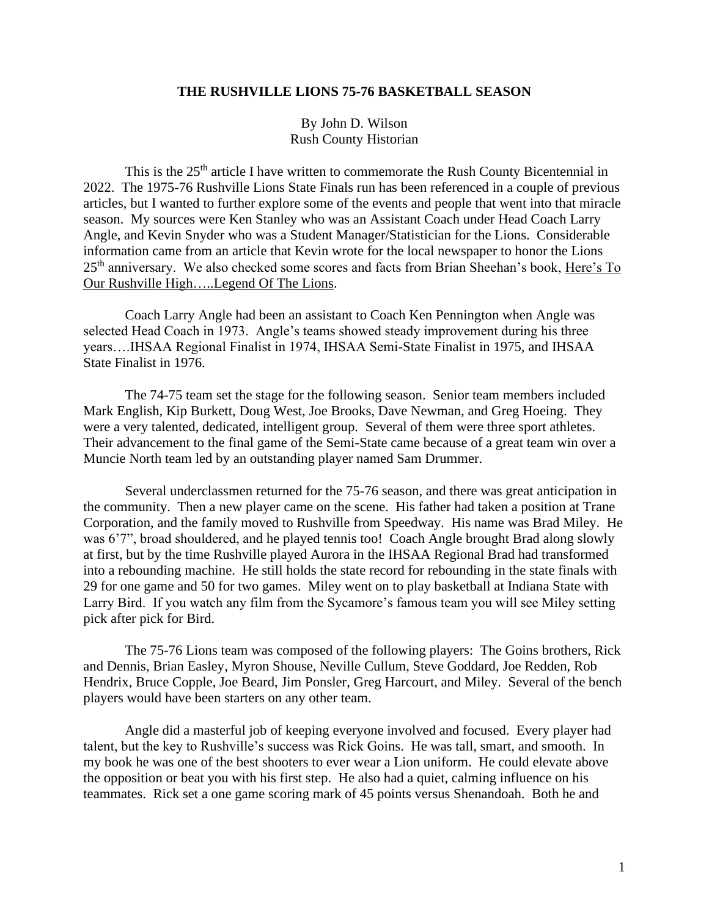## **THE RUSHVILLE LIONS 75-76 BASKETBALL SEASON**

By John D. Wilson Rush County Historian

This is the 25<sup>th</sup> article I have written to commemorate the Rush County Bicentennial in 2022. The 1975-76 Rushville Lions State Finals run has been referenced in a couple of previous articles, but I wanted to further explore some of the events and people that went into that miracle season. My sources were Ken Stanley who was an Assistant Coach under Head Coach Larry Angle, and Kevin Snyder who was a Student Manager/Statistician for the Lions. Considerable information came from an article that Kevin wrote for the local newspaper to honor the Lions 25<sup>th</sup> anniversary. We also checked some scores and facts from Brian Sheehan's book, Here's To Our Rushville High…..Legend Of The Lions.

Coach Larry Angle had been an assistant to Coach Ken Pennington when Angle was selected Head Coach in 1973. Angle's teams showed steady improvement during his three years….IHSAA Regional Finalist in 1974, IHSAA Semi-State Finalist in 1975, and IHSAA State Finalist in 1976.

The 74-75 team set the stage for the following season. Senior team members included Mark English, Kip Burkett, Doug West, Joe Brooks, Dave Newman, and Greg Hoeing. They were a very talented, dedicated, intelligent group. Several of them were three sport athletes. Their advancement to the final game of the Semi-State came because of a great team win over a Muncie North team led by an outstanding player named Sam Drummer.

Several underclassmen returned for the 75-76 season, and there was great anticipation in the community. Then a new player came on the scene. His father had taken a position at Trane Corporation, and the family moved to Rushville from Speedway. His name was Brad Miley. He was 6'7", broad shouldered, and he played tennis too! Coach Angle brought Brad along slowly at first, but by the time Rushville played Aurora in the IHSAA Regional Brad had transformed into a rebounding machine. He still holds the state record for rebounding in the state finals with 29 for one game and 50 for two games. Miley went on to play basketball at Indiana State with Larry Bird. If you watch any film from the Sycamore's famous team you will see Miley setting pick after pick for Bird.

The 75-76 Lions team was composed of the following players: The Goins brothers, Rick and Dennis, Brian Easley, Myron Shouse, Neville Cullum, Steve Goddard, Joe Redden, Rob Hendrix, Bruce Copple, Joe Beard, Jim Ponsler, Greg Harcourt, and Miley. Several of the bench players would have been starters on any other team.

Angle did a masterful job of keeping everyone involved and focused. Every player had talent, but the key to Rushville's success was Rick Goins. He was tall, smart, and smooth. In my book he was one of the best shooters to ever wear a Lion uniform. He could elevate above the opposition or beat you with his first step. He also had a quiet, calming influence on his teammates. Rick set a one game scoring mark of 45 points versus Shenandoah. Both he and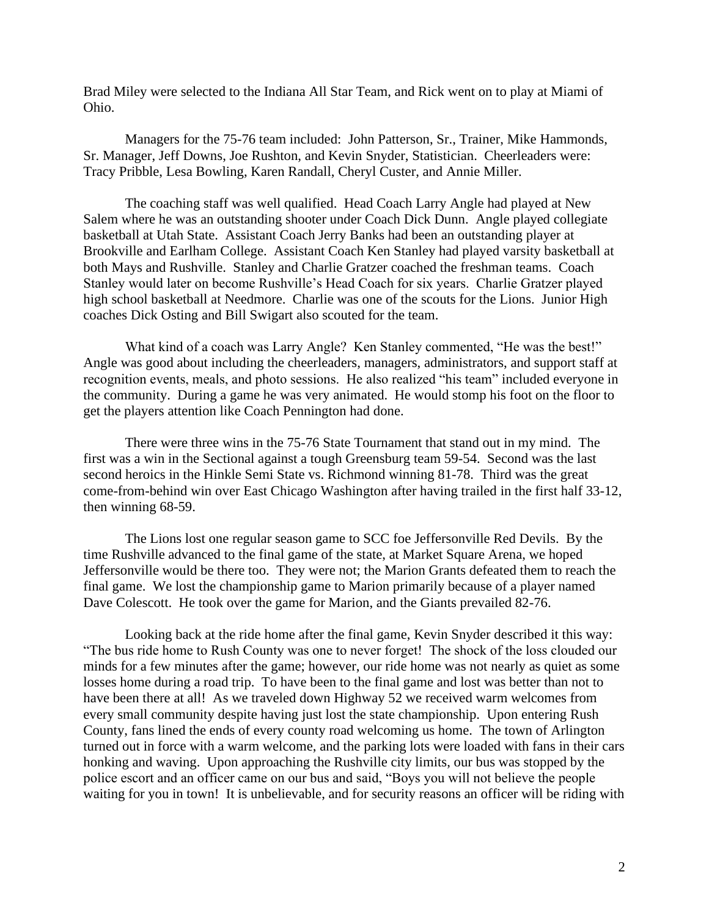Brad Miley were selected to the Indiana All Star Team, and Rick went on to play at Miami of Ohio.

Managers for the 75-76 team included: John Patterson, Sr., Trainer, Mike Hammonds, Sr. Manager, Jeff Downs, Joe Rushton, and Kevin Snyder, Statistician. Cheerleaders were: Tracy Pribble, Lesa Bowling, Karen Randall, Cheryl Custer, and Annie Miller.

The coaching staff was well qualified. Head Coach Larry Angle had played at New Salem where he was an outstanding shooter under Coach Dick Dunn. Angle played collegiate basketball at Utah State. Assistant Coach Jerry Banks had been an outstanding player at Brookville and Earlham College. Assistant Coach Ken Stanley had played varsity basketball at both Mays and Rushville. Stanley and Charlie Gratzer coached the freshman teams. Coach Stanley would later on become Rushville's Head Coach for six years. Charlie Gratzer played high school basketball at Needmore. Charlie was one of the scouts for the Lions. Junior High coaches Dick Osting and Bill Swigart also scouted for the team.

What kind of a coach was Larry Angle? Ken Stanley commented, "He was the best!" Angle was good about including the cheerleaders, managers, administrators, and support staff at recognition events, meals, and photo sessions. He also realized "his team" included everyone in the community. During a game he was very animated. He would stomp his foot on the floor to get the players attention like Coach Pennington had done.

There were three wins in the 75-76 State Tournament that stand out in my mind. The first was a win in the Sectional against a tough Greensburg team 59-54. Second was the last second heroics in the Hinkle Semi State vs. Richmond winning 81-78. Third was the great come-from-behind win over East Chicago Washington after having trailed in the first half 33-12, then winning 68-59.

The Lions lost one regular season game to SCC foe Jeffersonville Red Devils. By the time Rushville advanced to the final game of the state, at Market Square Arena, we hoped Jeffersonville would be there too. They were not; the Marion Grants defeated them to reach the final game. We lost the championship game to Marion primarily because of a player named Dave Colescott. He took over the game for Marion, and the Giants prevailed 82-76.

Looking back at the ride home after the final game, Kevin Snyder described it this way: "The bus ride home to Rush County was one to never forget! The shock of the loss clouded our minds for a few minutes after the game; however, our ride home was not nearly as quiet as some losses home during a road trip. To have been to the final game and lost was better than not to have been there at all! As we traveled down Highway 52 we received warm welcomes from every small community despite having just lost the state championship. Upon entering Rush County, fans lined the ends of every county road welcoming us home. The town of Arlington turned out in force with a warm welcome, and the parking lots were loaded with fans in their cars honking and waving. Upon approaching the Rushville city limits, our bus was stopped by the police escort and an officer came on our bus and said, "Boys you will not believe the people waiting for you in town! It is unbelievable, and for security reasons an officer will be riding with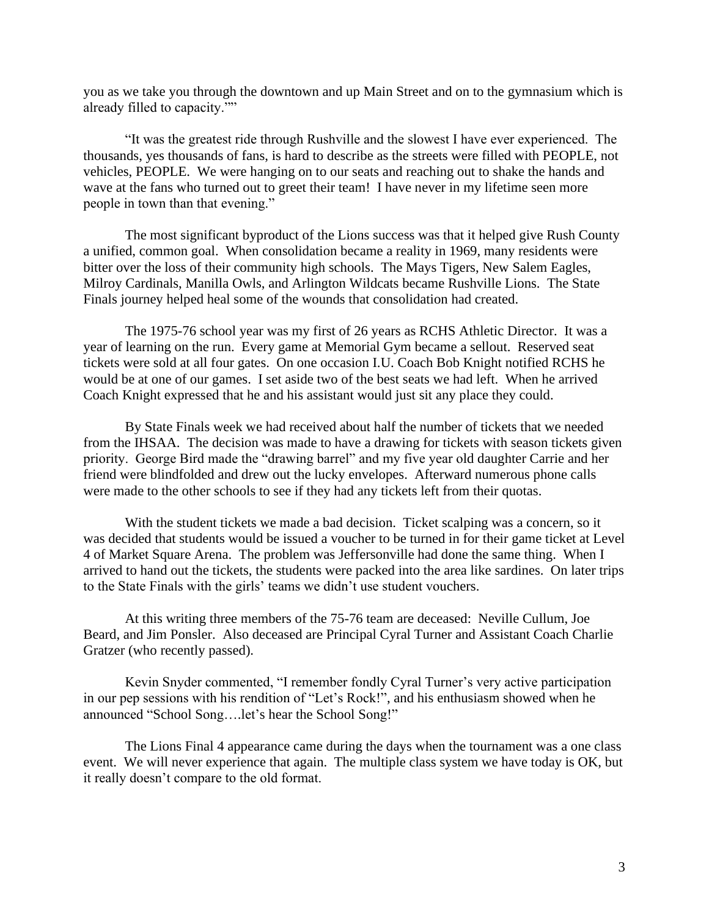you as we take you through the downtown and up Main Street and on to the gymnasium which is already filled to capacity.""

"It was the greatest ride through Rushville and the slowest I have ever experienced. The thousands, yes thousands of fans, is hard to describe as the streets were filled with PEOPLE, not vehicles, PEOPLE. We were hanging on to our seats and reaching out to shake the hands and wave at the fans who turned out to greet their team! I have never in my lifetime seen more people in town than that evening."

The most significant byproduct of the Lions success was that it helped give Rush County a unified, common goal. When consolidation became a reality in 1969, many residents were bitter over the loss of their community high schools. The Mays Tigers, New Salem Eagles, Milroy Cardinals, Manilla Owls, and Arlington Wildcats became Rushville Lions. The State Finals journey helped heal some of the wounds that consolidation had created.

The 1975-76 school year was my first of 26 years as RCHS Athletic Director. It was a year of learning on the run. Every game at Memorial Gym became a sellout. Reserved seat tickets were sold at all four gates. On one occasion I.U. Coach Bob Knight notified RCHS he would be at one of our games. I set aside two of the best seats we had left. When he arrived Coach Knight expressed that he and his assistant would just sit any place they could.

By State Finals week we had received about half the number of tickets that we needed from the IHSAA. The decision was made to have a drawing for tickets with season tickets given priority. George Bird made the "drawing barrel" and my five year old daughter Carrie and her friend were blindfolded and drew out the lucky envelopes. Afterward numerous phone calls were made to the other schools to see if they had any tickets left from their quotas.

With the student tickets we made a bad decision. Ticket scalping was a concern, so it was decided that students would be issued a voucher to be turned in for their game ticket at Level 4 of Market Square Arena. The problem was Jeffersonville had done the same thing. When I arrived to hand out the tickets, the students were packed into the area like sardines. On later trips to the State Finals with the girls' teams we didn't use student vouchers.

At this writing three members of the 75-76 team are deceased: Neville Cullum, Joe Beard, and Jim Ponsler. Also deceased are Principal Cyral Turner and Assistant Coach Charlie Gratzer (who recently passed).

Kevin Snyder commented, "I remember fondly Cyral Turner's very active participation in our pep sessions with his rendition of "Let's Rock!", and his enthusiasm showed when he announced "School Song….let's hear the School Song!"

The Lions Final 4 appearance came during the days when the tournament was a one class event. We will never experience that again. The multiple class system we have today is OK, but it really doesn't compare to the old format.